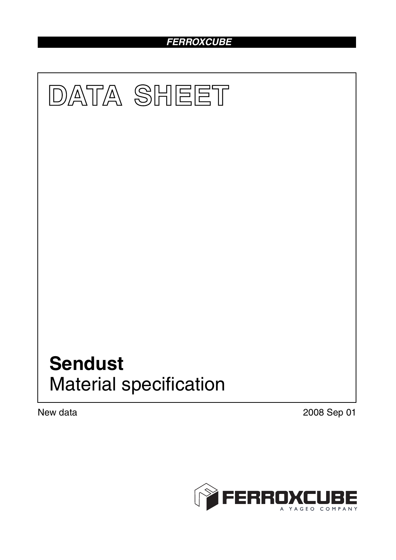# *FERROXCUBE*



New data 2008 Sep 01

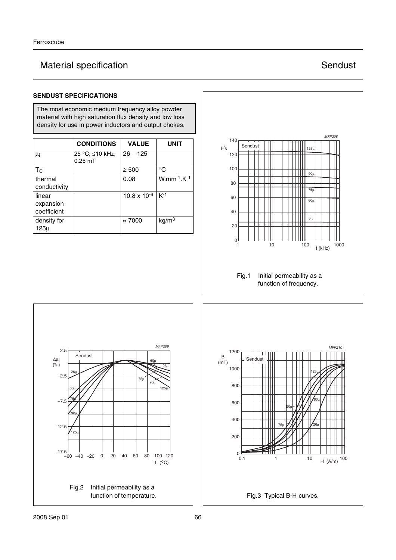# Material specification **Sendust** Sendust

### **SENDUST SPECIFICATIONS**

The most economic medium frequency alloy powder material with high saturation flux density and low loss density for use in power inductors and output chokes.

|                                    | <b>CONDITIONS</b>            | <b>VALUE</b>          | <b>UNIT</b>                                 |
|------------------------------------|------------------------------|-----------------------|---------------------------------------------|
| $\mu_i$                            | 25 °C; ≤10 kHz;<br>$0.25$ mT | $26 - 125$            |                                             |
| $T_{\rm C}$                        |                              | $\geq 500$            | °C                                          |
| thermal<br>conductivity            |                              | 0.08                  | $W.$ mm <sup>-1</sup> .K $\overline{^{-1}}$ |
| linear<br>expansion<br>coefficient |                              | $10.8 \times 10^{-6}$ | $K-1$                                       |
| density for<br>$125\mu$            |                              | $\approx 7000$        | kg/m <sup>3</sup>                           |



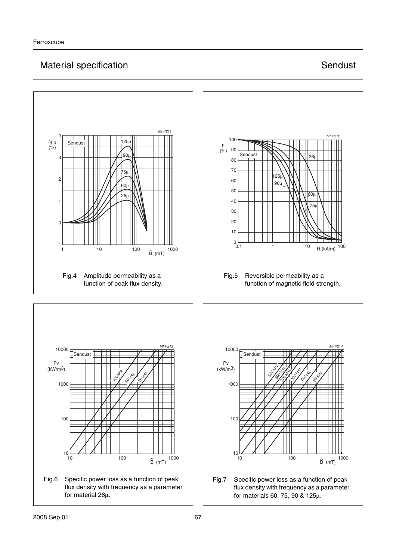## Material specification **Sendust** Sendust